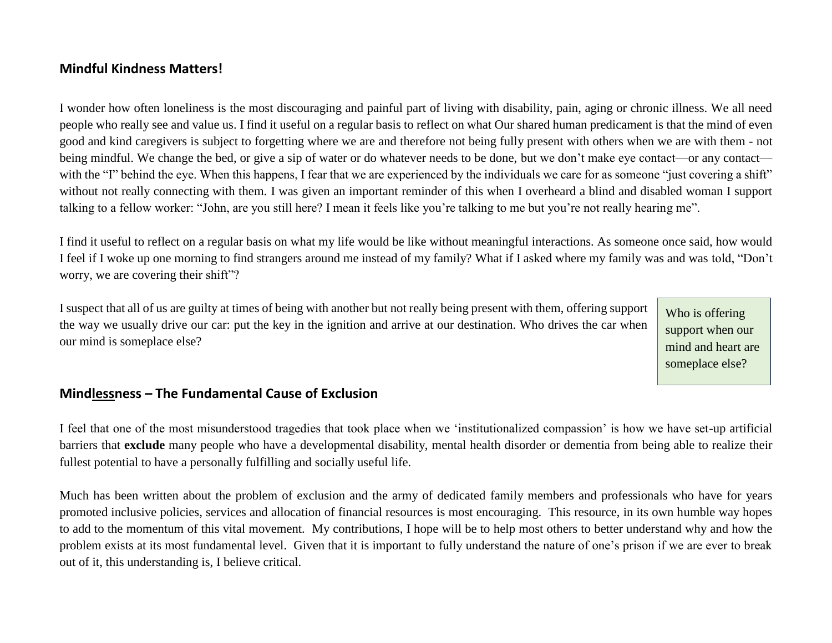# **Mindful Kindness Matters!**

I wonder how often loneliness is the most discouraging and painful part of living with disability, pain, aging or chronic illness. We all need people who really see and value us. I find it useful on a regular basis to reflect on what Our shared human predicament is that the mind of even good and kind caregivers is subject to forgetting where we are and therefore not being fully present with others when we are with them - not being mindful. We change the bed, or give a sip of water or do whatever needs to be done, but we don't make eye contact—or any contact with the "I" behind the eye. When this happens, I fear that we are experienced by the individuals we care for as someone "just covering a shift" without not really connecting with them. I was given an important reminder of this when I overheard a blind and disabled woman I support talking to a fellow worker: "John, are you still here? I mean it feels like you're talking to me but you're not really hearing me".

I find it useful to reflect on a regular basis on what my life would be like without meaningful interactions. As someone once said, how would I feel if I woke up one morning to find strangers around me instead of my family? What if I asked where my family was and was told, "Don't worry, we are covering their shift"?

I suspect that all of us are guilty at times of being with another but not really being present with them, offering support the way we usually drive our car: put the key in the ignition and arrive at our destination. Who drives the car when our mind is someplace else?

Who is offering support when our mind and heart are someplace else?

### **Mindlessness – The Fundamental Cause of Exclusion**

I feel that one of the most misunderstood tragedies that took place when we 'institutionalized compassion' is how we have set-up artificial barriers that **exclude** many people who have a developmental disability, mental health disorder or dementia from being able to realize their fullest potential to have a personally fulfilling and socially useful life.

Much has been written about the problem of exclusion and the army of dedicated family members and professionals who have for years promoted inclusive policies, services and allocation of financial resources is most encouraging. This resource, in its own humble way hopes to add to the momentum of this vital movement. My contributions, I hope will be to help most others to better understand why and how the problem exists at its most fundamental level. Given that it is important to fully understand the nature of one's prison if we are ever to break out of it, this understanding is, I believe critical.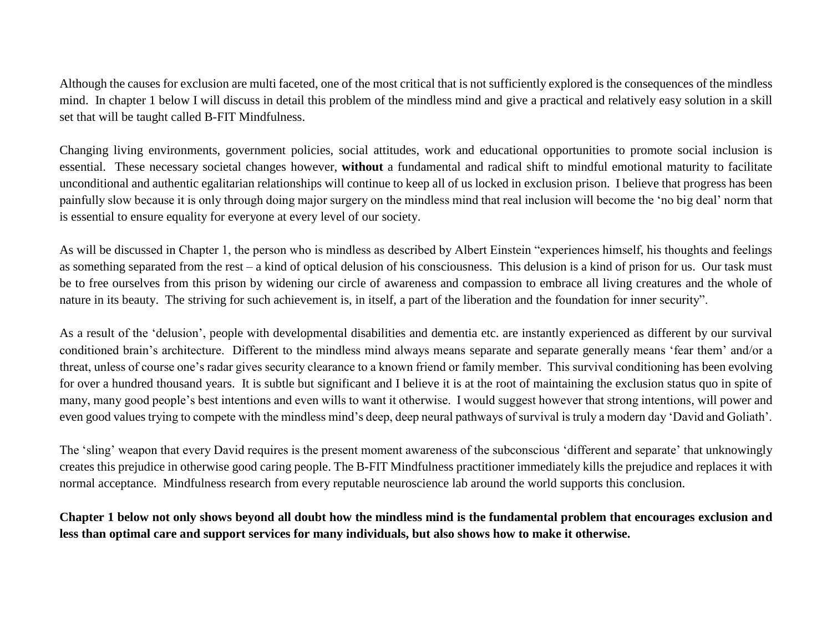Although the causes for exclusion are multi faceted, one of the most critical that is not sufficiently explored is the consequences of the mindless mind. In chapter 1 below I will discuss in detail this problem of the mindless mind and give a practical and relatively easy solution in a skill set that will be taught called B-FIT Mindfulness.

Changing living environments, government policies, social attitudes, work and educational opportunities to promote social inclusion is essential. These necessary societal changes however, **without** a fundamental and radical shift to mindful emotional maturity to facilitate unconditional and authentic egalitarian relationships will continue to keep all of us locked in exclusion prison. I believe that progress has been painfully slow because it is only through doing major surgery on the mindless mind that real inclusion will become the 'no big deal' norm that is essential to ensure equality for everyone at every level of our society.

As will be discussed in Chapter 1, the person who is mindless as described by Albert Einstein "experiences himself, his thoughts and feelings as something separated from the rest – a kind of optical delusion of his consciousness. This delusion is a kind of prison for us. Our task must be to free ourselves from this prison by widening our circle of awareness and compassion to embrace all living creatures and the whole of nature in its beauty. The striving for such achievement is, in itself, a part of the liberation and the foundation for inner security".

As a result of the 'delusion', people with developmental disabilities and dementia etc. are instantly experienced as different by our survival conditioned brain's architecture. Different to the mindless mind always means separate and separate generally means 'fear them' and/or a threat, unless of course one's radar gives security clearance to a known friend or family member. This survival conditioning has been evolving for over a hundred thousand years. It is subtle but significant and I believe it is at the root of maintaining the exclusion status quo in spite of many, many good people's best intentions and even wills to want it otherwise. I would suggest however that strong intentions, will power and even good values trying to compete with the mindless mind's deep, deep neural pathways of survival is truly a modern day 'David and Goliath'.

The 'sling' weapon that every David requires is the present moment awareness of the subconscious 'different and separate' that unknowingly creates this prejudice in otherwise good caring people. The B-FIT Mindfulness practitioner immediately kills the prejudice and replaces it with normal acceptance. Mindfulness research from every reputable neuroscience lab around the world supports this conclusion.

# **Chapter 1 below not only shows beyond all doubt how the mindless mind is the fundamental problem that encourages exclusion and less than optimal care and support services for many individuals, but also shows how to make it otherwise.**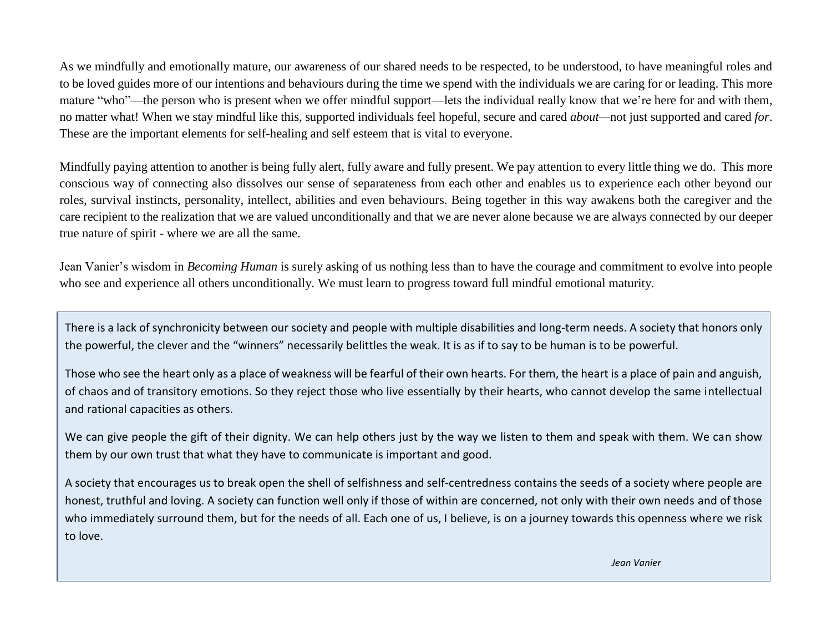As we mindfully and emotionally mature, our awareness of our shared needs to be respected, to be understood, to have meaningful roles and to be loved guides more of our intentions and behaviours during the time we spend with the individuals we are caring for or leading. This more mature "who"—the person who is present when we offer mindful support—lets the individual really know that we're here for and with them, no matter what! When we stay mindful like this, supported individuals feel hopeful, secure and cared *about—*not just supported and cared *for*. These are the important elements for self-healing and self esteem that is vital to everyone.

Mindfully paying attention to another is being fully alert, fully aware and fully present. We pay attention to every little thing we do. This more conscious way of connecting also dissolves our sense of separateness from each other and enables us to experience each other beyond our roles, survival instincts, personality, intellect, abilities and even behaviours. Being together in this way awakens both the caregiver and the care recipient to the realization that we are valued unconditionally and that we are never alone because we are always connected by our deeper true nature of spirit - where we are all the same.

Jean Vanier's wisdom in *Becoming Human* is surely asking of us nothing less than to have the courage and commitment to evolve into people who see and experience all others unconditionally. We must learn to progress toward full mindful emotional maturity.

There is a lack of synchronicity between our society and people with multiple disabilities and long-term needs. A society that honors only the powerful, the clever and the "winners" necessarily belittles the weak. It is as if to say to be human is to be powerful.

Those who see the heart only as a place of weakness will be fearful of their own hearts. For them, the heart is a place of pain and anguish, of chaos and of transitory emotions. So they reject those who live essentially by their hearts, who cannot develop the same intellectual and rational capacities as others.

We can give people the gift of their dignity. We can help others just by the way we listen to them and speak with them. We can show them by our own trust that what they have to communicate is important and good.

A society that encourages us to break open the shell of selfishness and self-centredness contains the seeds of a society where people are honest, truthful and loving. A society can function well only if those of within are concerned, not only with their own needs and of those who immediately surround them, but for the needs of all. Each one of us, I believe, is on a journey towards this openness where we risk to love.

*Jean Vanier*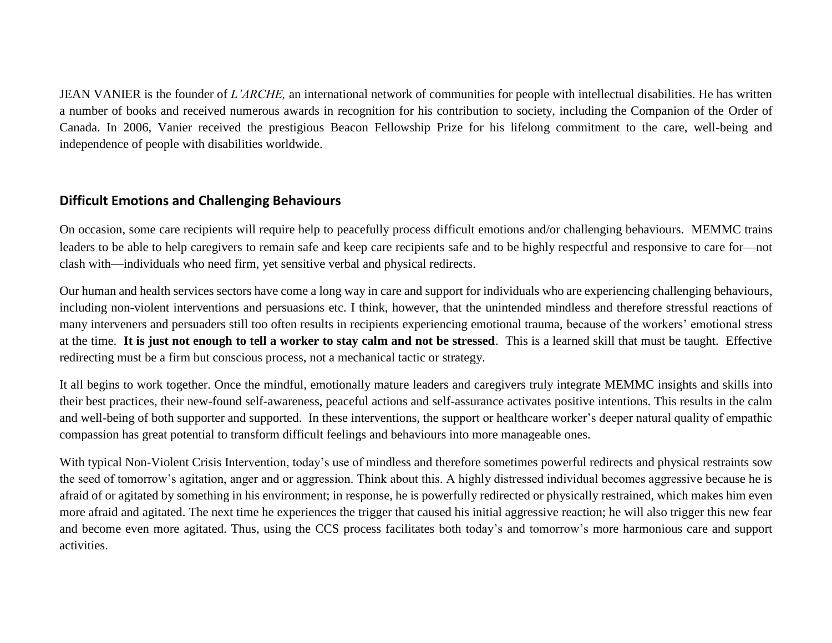JEAN VANIER is the founder of *L'ARCHE,* an international network of communities for people with intellectual disabilities. He has written a number of books and received numerous awards in recognition for his contribution to society, including the Companion of the Order of Canada. In 2006, Vanier received the prestigious Beacon Fellowship Prize for his lifelong commitment to the care, well-being and independence of people with disabilities worldwide.

## **Difficult Emotions and Challenging Behaviours**

On occasion, some care recipients will require help to peacefully process difficult emotions and/or challenging behaviours. MEMMC trains leaders to be able to help caregivers to remain safe and keep care recipients safe and to be highly respectful and responsive to care for not clash with—individuals who need firm, yet sensitive verbal and physical redirects.

Our human and health services sectors have come a long way in care and support for individuals who are experiencing challenging behaviours, including non-violent interventions and persuasions etc. I think, however, that the unintended mindless and therefore stressful reactions of many interveners and persuaders still too often results in recipients experiencing emotional trauma, because of the workers' emotional stress at the time. **It is just not enough to tell a worker to stay calm and not be stressed**. This is a learned skill that must be taught. Effective redirecting must be a firm but conscious process, not a mechanical tactic or strategy.

It all begins to work together. Once the mindful, emotionally mature leaders and caregivers truly integrate MEMMC insights and skills into their best practices, their new-found self-awareness, peaceful actions and self-assurance activates positive intentions. This results in the calm and well-being of both supporter and supported. In these interventions, the support or healthcare worker's deeper natural quality of empathic compassion has great potential to transform difficult feelings and behaviours into more manageable ones.

With typical Non-Violent Crisis Intervention, today's use of mindless and therefore sometimes powerful redirects and physical restraints sow the seed of tomorrow's agitation, anger and or aggression. Think about this. A highly distressed individual becomes aggressive because he is afraid of or agitated by something in his environment; in response, he is powerfully redirected or physically restrained, which makes him even more afraid and agitated. The next time he experiences the trigger that caused his initial aggressive reaction; he will also trigger this new fear and become even more agitated. Thus, using the CCS process facilitates both today's and tomorrow's more harmonious care and support activities.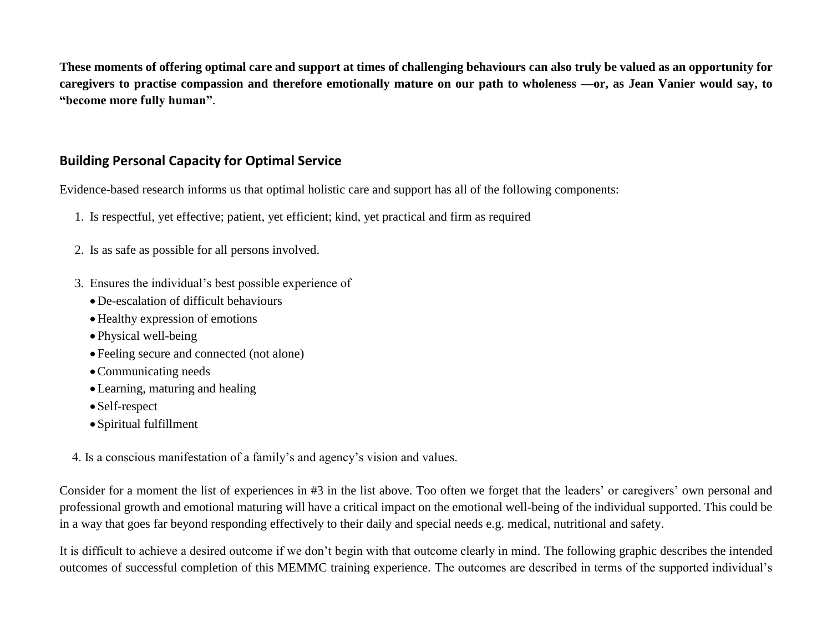**These moments of offering optimal care and support at times of challenging behaviours can also truly be valued as an opportunity for caregivers to practise compassion and therefore emotionally mature on our path to wholeness —or, as Jean Vanier would say, to "become more fully human"**.

# **Building Personal Capacity for Optimal Service**

Evidence-based research informs us that optimal holistic care and support has all of the following components:

- 1. Is respectful, yet effective; patient, yet efficient; kind, yet practical and firm as required
- 2. Is as safe as possible for all persons involved.
- 3. Ensures the individual's best possible experience of
	- De-escalation of difficult behaviours
	- Healthy expression of emotions
	- Physical well-being
	- Feeling secure and connected (not alone)
	- Communicating needs
	- Learning, maturing and healing
	- Self-respect
	- Spiritual fulfillment

4. Is a conscious manifestation of a family's and agency's vision and values.

Consider for a moment the list of experiences in #3 in the list above. Too often we forget that the leaders' or caregivers' own personal and professional growth and emotional maturing will have a critical impact on the emotional well-being of the individual supported. This could be in a way that goes far beyond responding effectively to their daily and special needs e.g. medical, nutritional and safety.

It is difficult to achieve a desired outcome if we don't begin with that outcome clearly in mind. The following graphic describes the intended outcomes of successful completion of this MEMMC training experience. The outcomes are described in terms of the supported individual's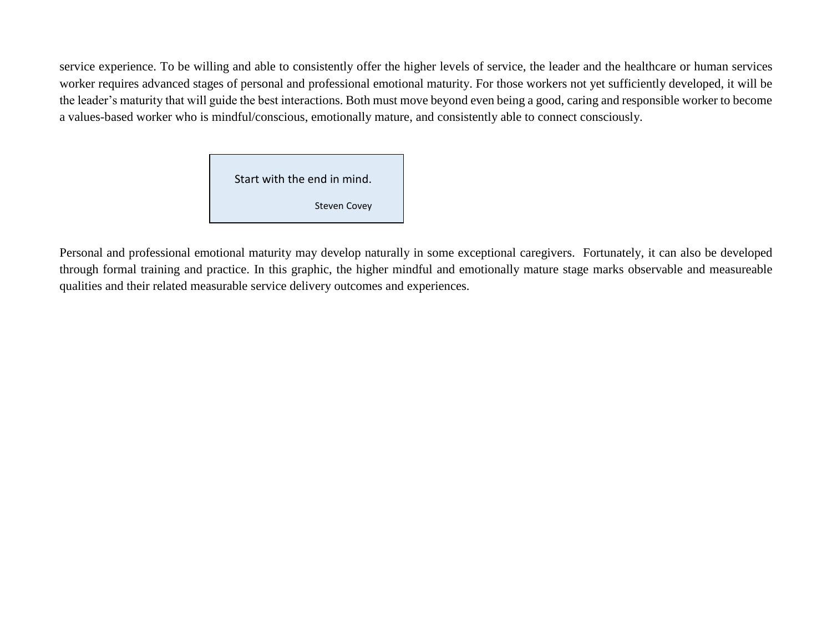service experience. To be willing and able to consistently offer the higher levels of service, the leader and the healthcare or human services worker requires advanced stages of personal and professional emotional maturity. For those workers not yet sufficiently developed, it will be the leader's maturity that will guide the best interactions. Both must move beyond even being a good, caring and responsible worker to become a values-based worker who is mindful/conscious, emotionally mature, and consistently able to connect consciously.

> Start with the end in mind. Steven Covey

Personal and professional emotional maturity may develop naturally in some exceptional caregivers. Fortunately, it can also be developed through formal training and practice. In this graphic, the higher mindful and emotionally mature stage marks observable and measureable qualities and their related measurable service delivery outcomes and experiences.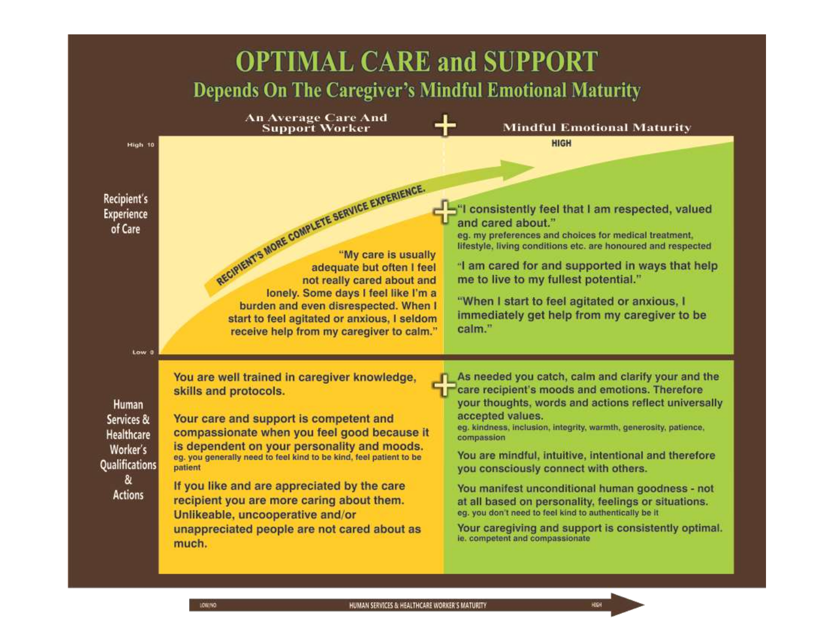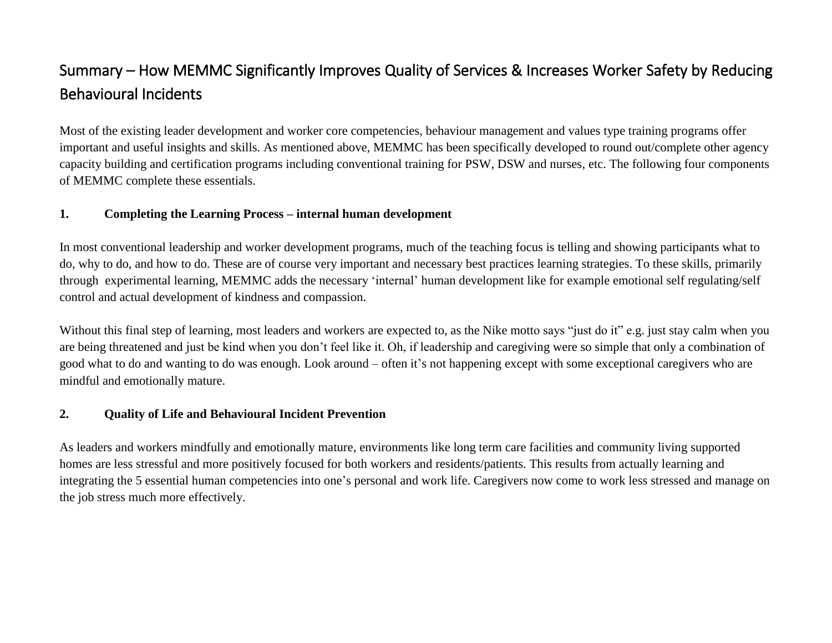# Summary – How MEMMC Significantly Improves Quality of Services & Increases Worker Safety by Reducing Behavioural Incidents

Most of the existing leader development and worker core competencies, behaviour management and values type training programs offer important and useful insights and skills. As mentioned above, MEMMC has been specifically developed to round out/complete other agency capacity building and certification programs including conventional training for PSW, DSW and nurses, etc. The following four components of MEMMC complete these essentials.

### **1. Completing the Learning Process – internal human development**

In most conventional leadership and worker development programs, much of the teaching focus is telling and showing participants what to do, why to do, and how to do. These are of course very important and necessary best practices learning strategies. To these skills, primarily through experimental learning, MEMMC adds the necessary 'internal' human development like for example emotional self regulating/self control and actual development of kindness and compassion.

Without this final step of learning, most leaders and workers are expected to, as the Nike motto says "just do it" e.g. just stay calm when you are being threatened and just be kind when you don't feel like it. Oh, if leadership and caregiving were so simple that only a combination of good what to do and wanting to do was enough. Look around – often it's not happening except with some exceptional caregivers who are mindful and emotionally mature.

### **2. Quality of Life and Behavioural Incident Prevention**

As leaders and workers mindfully and emotionally mature, environments like long term care facilities and community living supported homes are less stressful and more positively focused for both workers and residents/patients. This results from actually learning and integrating the 5 essential human competencies into one's personal and work life. Caregivers now come to work less stressed and manage on the job stress much more effectively.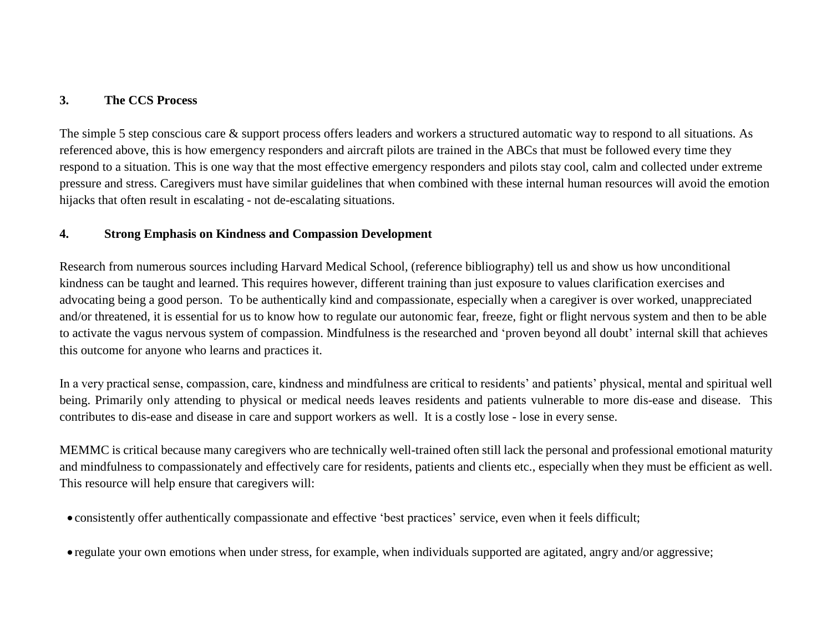### **3. The CCS Process**

The simple 5 step conscious care  $\&$  support process offers leaders and workers a structured automatic way to respond to all situations. As referenced above, this is how emergency responders and aircraft pilots are trained in the ABCs that must be followed every time they respond to a situation. This is one way that the most effective emergency responders and pilots stay cool, calm and collected under extreme pressure and stress. Caregivers must have similar guidelines that when combined with these internal human resources will avoid the emotion hijacks that often result in escalating - not de-escalating situations.

#### **4. Strong Emphasis on Kindness and Compassion Development**

Research from numerous sources including Harvard Medical School, (reference bibliography) tell us and show us how unconditional kindness can be taught and learned. This requires however, different training than just exposure to values clarification exercises and advocating being a good person. To be authentically kind and compassionate, especially when a caregiver is over worked, unappreciated and/or threatened, it is essential for us to know how to regulate our autonomic fear, freeze, fight or flight nervous system and then to be able to activate the vagus nervous system of compassion. Mindfulness is the researched and 'proven beyond all doubt' internal skill that achieves this outcome for anyone who learns and practices it.

In a very practical sense, compassion, care, kindness and mindfulness are critical to residents' and patients' physical, mental and spiritual well being. Primarily only attending to physical or medical needs leaves residents and patients vulnerable to more dis-ease and disease. This contributes to dis-ease and disease in care and support workers as well. It is a costly lose - lose in every sense.

MEMMC is critical because many caregivers who are technically well-trained often still lack the personal and professional emotional maturity and mindfulness to compassionately and effectively care for residents, patients and clients etc., especially when they must be efficient as well. This resource will help ensure that caregivers will:

consistently offer authentically compassionate and effective 'best practices' service, even when it feels difficult;

regulate your own emotions when under stress, for example, when individuals supported are agitated, angry and/or aggressive;